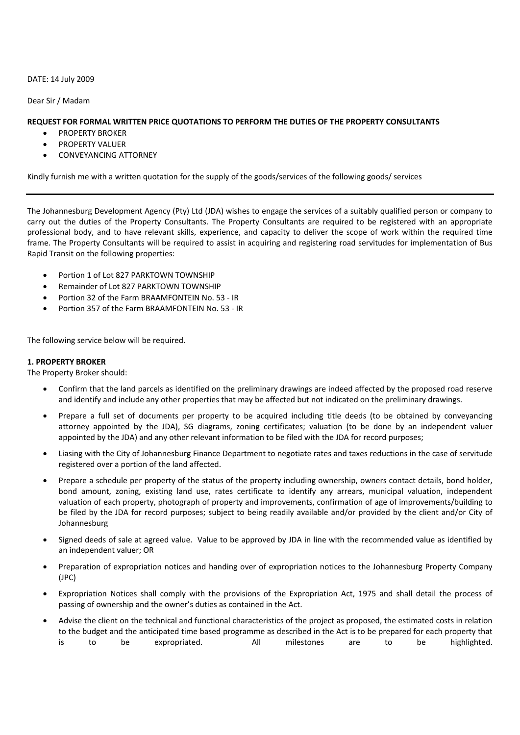DATE: 14 July 2009

Dear Sir / Madam

## **REQUEST FOR FORMAL WRITTEN PRICE QUOTATIONS TO PERFORM THE DUTIES OF THE PROPERTY CONSULTANTS**

- PROPERTY BROKER
- PROPERTY VALUER
- CONVEYANCING ATTORNEY

Kindly furnish me with a written quotation for the supply of the goods/services of the following goods/ services

The Johannesburg Development Agency (Pty) Ltd (JDA) wishes to engage the services of a suitably qualified person or company to carry out the duties of the Property Consultants. The Property Consultants are required to be registered with an appropriate professional body, and to have relevant skills, experience, and capacity to deliver the scope of work within the required time frame. The Property Consultants will be required to assist in acquiring and registering road servitudes for implementation of Bus Rapid Transit on the following properties:

- Portion 1 of Lot 827 PARKTOWN TOWNSHIP
- Remainder of Lot 827 PARKTOWN TOWNSHIP
- Portion 32 of the Farm BRAAMFONTEIN No. 53 ‐ IR
- Portion 357 of the Farm BRAAMFONTEIN No. 53 ‐ IR

The following service below will be required.

## **1. PROPERTY BROKER**

The Property Broker should:

- Confirm that the land parcels as identified on the preliminary drawings are indeed affected by the proposed road reserve and identify and include any other properties that may be affected but not indicated on the preliminary drawings.
- Prepare a full set of documents per property to be acquired including title deeds (to be obtained by conveyancing attorney appointed by the JDA), SG diagrams, zoning certificates; valuation (to be done by an independent valuer appointed by the JDA) and any other relevant information to be filed with the JDA for record purposes;
- Liasing with the City of Johannesburg Finance Department to negotiate rates and taxes reductions in the case of servitude registered over a portion of the land affected.
- Prepare a schedule per property of the status of the property including ownership, owners contact details, bond holder, bond amount, zoning, existing land use, rates certificate to identify any arrears, municipal valuation, independent valuation of each property, photograph of property and improvements, confirmation of age of improvements/building to be filed by the JDA for record purposes; subject to being readily available and/or provided by the client and/or City of Johannesburg
- Signed deeds of sale at agreed value. Value to be approved by JDA in line with the recommended value as identified by an independent valuer; OR
- Preparation of expropriation notices and handing over of expropriation notices to the Johannesburg Property Company (JPC)
- Expropriation Notices shall comply with the provisions of the Expropriation Act, 1975 and shall detail the process of passing of ownership and the owner's duties as contained in the Act.
- Advise the client on the technical and functional characteristics of the project as proposed, the estimated costs in relation to the budget and the anticipated time based programme as described in the Act is to be prepared for each property that is to be expropriated. All milestones are to be highlighted.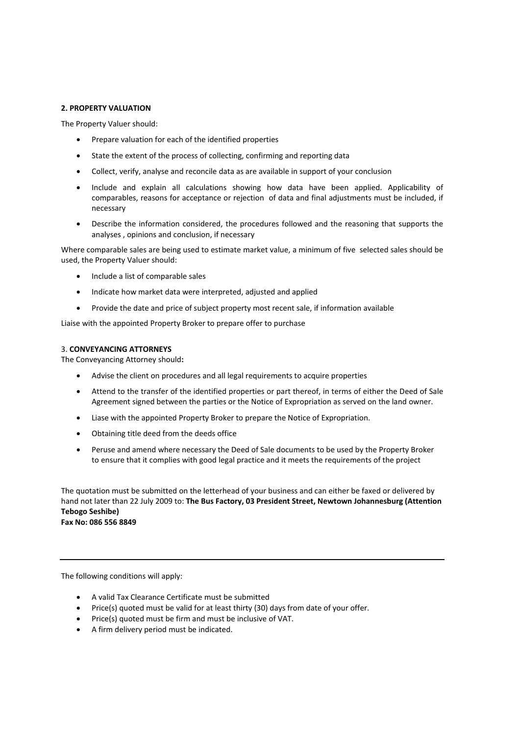## **2. PROPERTY VALUATION**

The Property Valuer should:

- Prepare valuation for each of the identified properties
- State the extent of the process of collecting, confirming and reporting data
- Collect, verify, analyse and reconcile data as are available in support of your conclusion
- Include and explain all calculations showing how data have been applied. Applicability of comparables, reasons for acceptance or rejection of data and final adjustments must be included, if necessary
- Describe the information considered, the procedures followed and the reasoning that supports the analyses , opinions and conclusion, if necessary

Where comparable sales are being used to estimate market value, a minimum of five selected sales should be used, the Property Valuer should:

- Include a list of comparable sales
- Indicate how market data were interpreted, adjusted and applied
- Provide the date and price of subject property most recent sale, if information available

Liaise with the appointed Property Broker to prepare offer to purchase

## 3. **CONVEYANCING ATTORNEYS**

The Conveyancing Attorney should**:**

- Advise the client on procedures and all legal requirements to acquire properties
- Attend to the transfer of the identified properties or part thereof, in terms of either the Deed of Sale Agreement signed between the parties or the Notice of Expropriation as served on the land owner.
- Liase with the appointed Property Broker to prepare the Notice of Expropriation.
- Obtaining title deed from the deeds office
- Peruse and amend where necessary the Deed of Sale documents to be used by the Property Broker to ensure that it complies with good legal practice and it meets the requirements of the project

The quotation must be submitted on the letterhead of your business and can either be faxed or delivered by hand not later than 22 July 2009 to: **The Bus Factory, 03 President Street, Newtown Johannesburg (Attention Tebogo Seshibe) Fax No: 086 556 8849**

The following conditions will apply:

- A valid Tax Clearance Certificate must be submitted
- Price(s) quoted must be valid for at least thirty (30) days from date of your offer.
- Price(s) quoted must be firm and must be inclusive of VAT.
- A firm delivery period must be indicated.